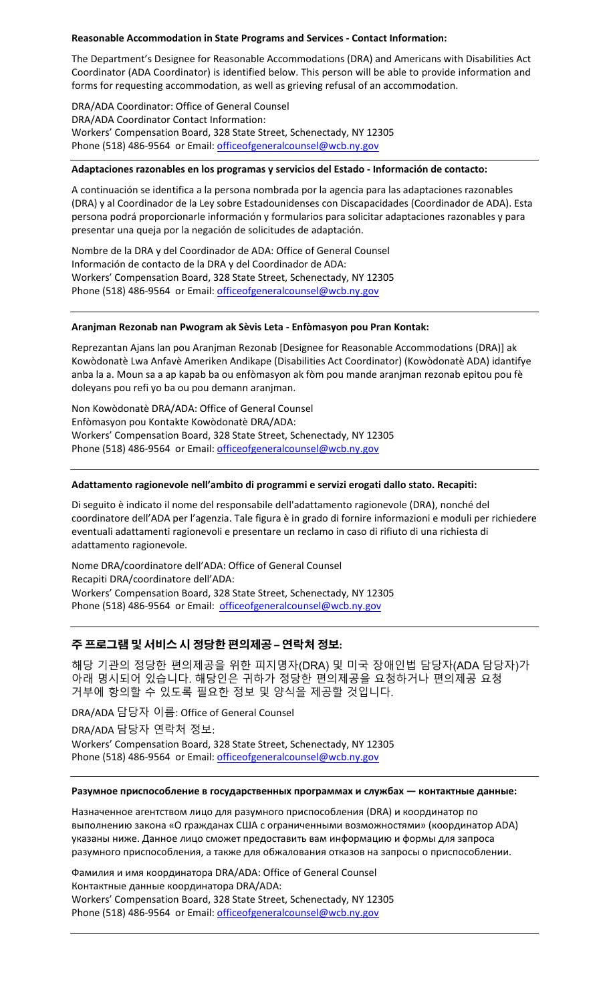### **Reasonable Accommodation in State Programs and Services - Contact Information:**

The Department's Designee for Reasonable Accommodations (DRA) and Americans with Disabilities Act Coordinator (ADA Coordinator) is identified below. This person will be able to provide information and forms for requesting accommodation, as well as grieving refusal of an accommodation.

DRA/ADA Coordinator: Office of General Counsel DRA/ADA Coordinator Contact Information: Workers' Compensation Board, 328 State Street, Schenectady, NY 12305 Phone (518) 486-9564 or Email: [officeofgeneralcounsel@wcb.ny.gov](mailto:officeofgeneralcounsel@wcb.ny.gov)

#### **Adaptaciones razonables en los programas y servicios del Estado - Información de contacto:**

A continuación se identifica a la persona nombrada por la agencia para las adaptaciones razonables (DRA) y al Coordinador de la Ley sobre Estadounidenses con Discapacidades (Coordinador de ADA). Esta persona podrá proporcionarle información y formularios para solicitar adaptaciones razonables y para presentar una queja por la negación de solicitudes de adaptación.

Nombre de la DRA y del Coordinador de ADA: Office of General Counsel Información de contacto de la DRA y del Coordinador de ADA: Workers' Compensation Board, 328 State Street, Schenectady, NY 12305 Phone (518) 486-9564 or Email: [officeofgeneralcounsel@wcb.ny.gov](mailto:officeofgeneralcounsel@wcb.ny.gov)

#### **Aranjman Rezonab nan Pwogram ak Sèvis Leta - Enfòmasyon pou Pran Kontak:**

Reprezantan Ajans lan pou Aranjman Rezonab [Designee for Reasonable Accommodations (DRA)] ak Kowòdonatè Lwa Anfavè Ameriken Andikape (Disabilities Act Coordinator) (Kowòdonatè ADA) idantifye anba la a. Moun sa a ap kapab ba ou enfòmasyon ak fòm pou mande aranjman rezonab epitou pou fè doleyans pou refi yo ba ou pou demann aranjman.

Non Kowòdonatè DRA/ADA: Office of General Counsel Enfòmasyon pou Kontakte Kowòdonatè DRA/ADA: Workers' Compensation Board, 328 State Street, Schenectady, NY 12305 Phone (518) 486-9564 or Email: [officeofgeneralcounsel@wcb.ny.gov](mailto:officeofgeneralcounsel@wcb.ny.gov)

### **Adattamento ragionevole nell'ambito di programmi e servizi erogati dallo stato. Recapiti:**

Di seguito è indicato il nome del responsabile dell'adattamento ragionevole (DRA), nonché del coordinatore dell'ADA per l'agenzia. Tale figura è in grado di fornire informazioni e moduli per richiedere eventuali adattamenti ragionevoli e presentare un reclamo in caso di rifiuto di una richiesta di adattamento ragionevole.

Nome DRA/coordinatore dell'ADA: Office of General Counsel Recapiti DRA/coordinatore dell'ADA: Workers' Compensation Board, 328 State Street, Schenectady, NY 12305 Phone (518) 486-9564 or Email: [officeofgeneralcounsel@wcb.ny.gov](mailto:officeofgeneralcounsel@wcb.ny.gov)

## **주 프로그램 및 서비스 시 정당한 편의제공 – 연락처 정보:**

해당 기관의 정당한 편의제공을 위한 피지명자(DRA) 및 미국 장애인법 담당자(ADA 담당자)가 아래 명시되어 있습니다. 해당인은 귀하가 정당한 편의제공을 요청하거나 편의제공 요청 거부에 항의할 수 있도록 필요한 정보 및 양식을 제공할 것입니다.

DRA/ADA 담당자 이름: Office of General Counsel

DRA/ADA 담당자 연락처 정보: Workers' Compensation Board, 328 State Street, Schenectady, NY 12305 Phone (518) 486-9564 or Email: [officeofgeneralcounsel@wcb.ny.gov](mailto:officeofgeneralcounsel@wcb.ny.gov)

#### **Разумное приспособление в государственных программах и службах — контактные данные:**

Назначенное агентством лицо для разумного приспособления (DRA) и координатор по выполнению закона «О гражданах США с ограниченными возможностями» (координатор ADA) указаны ниже. Данное лицо сможет предоставить вам информацию и формы для запроса разумного приспособления, а также для обжалования отказов на запросы о приспособлении.

Фамилия и имя координатора DRA/ADA: Office of General Counsel Контактные данные координатора DRA/ADA: Workers' Compensation Board, 328 State Street, Schenectady, NY 12305 Phone (518) 486-9564 or Email: [officeofgeneralcounsel@wcb.ny.gov](mailto:officeofgeneralcounsel@wcb.ny.gov)